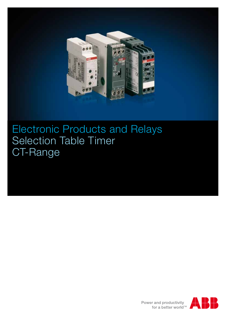

# Electronic Products and Relays Selection Table Timer CT-Range

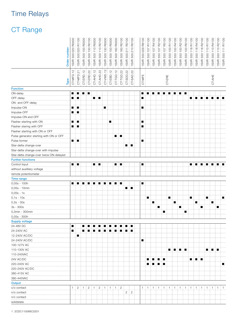### Time Relays

## CT Range

|                                         | SO                                                                                                                                                                                                                                                                                                                                                                                                 | 8              | $\beta$              |          | 8       | 8                                                                                                                                                                                                                                                                                                                   |                |                |          |               |           |                       |                     |
|-----------------------------------------|----------------------------------------------------------------------------------------------------------------------------------------------------------------------------------------------------------------------------------------------------------------------------------------------------------------------------------------------------------------------------------------------------|----------------|----------------------|----------|---------|---------------------------------------------------------------------------------------------------------------------------------------------------------------------------------------------------------------------------------------------------------------------------------------------------------------------|----------------|----------------|----------|---------------|-----------|-----------------------|---------------------|
|                                         | $\frac{1}{\sqrt{10000}}$<br>$\overline{\phantom{m}}$                                                                                                                                                                                                                                                                                                                                               | $\rm ^{\circ}$ |                      |          | °       | S<br>$\Omega$<br>$\circ$                                                                                                                                                                                                                                                                                            | 8<br>°≈        |                |          |               |           |                       |                     |
|                                         | $\circ$                                                                                                                                                                                                                                                                                                                                                                                            | 8              | $\circ$              |          | 60      | $\subseteq$<br>$\overline{ }$                                                                                                                                                                                                                                                                                       |                |                |          |               |           |                       |                     |
|                                         | $\frac{1}{2}$                                                                                                                                                                                                                                                                                                                                                                                      | $\circ$        | $\overline{C}$       |          | 8       | $\sim$                                                                                                                                                                                                                                                                                                              |                |                | ◯        | Ō             |           |                       |                     |
|                                         | S                                                                                                                                                                                                                                                                                                                                                                                                  |                |                      |          | $\circ$ | $\circ$                                                                                                                                                                                                                                                                                                             | $\circ$        |                |          |               |           |                       |                     |
|                                         | $\frac{1}{3}$<br>ે<br>જ                                                                                                                                                                                                                                                                                                                                                                            |                |                      |          |         | $\frac{1}{2}$ $\frac{1}{2}$ $\frac{1}{2}$ $\frac{1}{2}$ $\frac{1}{2}$ $\frac{1}{2}$ $\frac{1}{2}$ $\frac{1}{2}$ $\frac{1}{2}$ $\frac{1}{2}$ $\frac{1}{2}$ $\frac{1}{2}$ $\frac{1}{2}$ $\frac{1}{2}$ $\frac{1}{2}$ $\frac{1}{2}$ $\frac{1}{2}$ $\frac{1}{2}$ $\frac{1}{2}$ $\frac{1}{2}$ $\frac{1}{2}$ $\frac{1}{2}$ | SVR            |                |          | $\delta$<br>ි |           |                       | <u>ର ।</u>          |
|                                         |                                                                                                                                                                                                                                                                                                                                                                                                    | စ်<br>ဖြ       | စြ<br>$\overline{c}$ | စ်<br>်တ |         |                                                                                                                                                                                                                                                                                                                     |                | ີທ ∶           | စ်<br>်ဟ | စ             | ćο<br>CO. | တြ :<br>က<br>$\Omega$ |                     |
|                                         |                                                                                                                                                                                                                                                                                                                                                                                                    |                |                      |          |         |                                                                                                                                                                                                                                                                                                                     |                |                |          |               |           |                       |                     |
|                                         | $\frac{1}{\text{NPE}}\n \begin{array}{r} \n \text{NPE} \\ \hline\n \text{C}^{\text{T-MFD}} & 12 \\ \hline\n \text{C}^{\text{T-MFD}} & 12 \\ \text{C}^{\text{T-ERD}} & 12 \\ \text{C}^{\text{T-ERL}} & 12 \\ \text{C}^{\text{T-M-D}} & 12 \\ \text{C}^{\text{T-M-D}} & 12 \\ \text{C}^{\text{T-M-D}} & 12 \\ \text{C}^{\text{T-M-D}} & 12 \\ \text{C}^{\text{T-D}} & 12 \\ \text{C}^{\text{T-D}} &$ |                |                      |          |         |                                                                                                                                                                                                                                                                                                                     | <b>MFE</b>     |                |          |               |           |                       |                     |
|                                         |                                                                                                                                                                                                                                                                                                                                                                                                    |                |                      |          |         |                                                                                                                                                                                                                                                                                                                     |                |                |          |               |           |                       |                     |
|                                         |                                                                                                                                                                                                                                                                                                                                                                                                    |                |                      |          |         |                                                                                                                                                                                                                                                                                                                     | 능              |                |          |               |           |                       |                     |
| <b>Function</b>                         |                                                                                                                                                                                                                                                                                                                                                                                                    |                |                      |          |         |                                                                                                                                                                                                                                                                                                                     |                |                |          |               |           |                       |                     |
| ON-delay                                | ▎▆▕▗▆▕▗▆▕▗▆▗                                                                                                                                                                                                                                                                                                                                                                                       |                |                      |          |         |                                                                                                                                                                                                                                                                                                                     |                |                |          |               |           |                       |                     |
| OFF-delay                               | 1 = 1 = 1                                                                                                                                                                                                                                                                                                                                                                                          |                | ▏▆▕▏▆                |          |         |                                                                                                                                                                                                                                                                                                                     | ▎▆▁            |                |          |               |           |                       | {= {= {= {= {= {= } |
| ON- and OFF-delay                       |                                                                                                                                                                                                                                                                                                                                                                                                    |                |                      |          |         |                                                                                                                                                                                                                                                                                                                     |                |                |          |               |           |                       |                     |
| Impulse-ON                              | ▎▆▏░▆▁                                                                                                                                                                                                                                                                                                                                                                                             |                |                      | Œ.       |         |                                                                                                                                                                                                                                                                                                                     | I T            |                |          |               |           |                       |                     |
| Impulse-OFF                             | =   =                                                                                                                                                                                                                                                                                                                                                                                              |                |                      |          |         |                                                                                                                                                                                                                                                                                                                     |                |                |          |               |           |                       |                     |
| Impulse-ON and OFF                      |                                                                                                                                                                                                                                                                                                                                                                                                    |                |                      |          |         |                                                                                                                                                                                                                                                                                                                     |                |                |          |               |           |                       |                     |
| Flasher starting with ON                | ▎▆▕▗▆▁                                                                                                                                                                                                                                                                                                                                                                                             |                |                      | {∎ }     |         |                                                                                                                                                                                                                                                                                                                     | I .            |                |          |               |           |                       |                     |
| Flasher staring with OFF                | I II (III)                                                                                                                                                                                                                                                                                                                                                                                         |                |                      |          |         |                                                                                                                                                                                                                                                                                                                     | I T            |                |          |               |           |                       |                     |
| Flasher starting with ON or OFF         |                                                                                                                                                                                                                                                                                                                                                                                                    |                |                      |          |         |                                                                                                                                                                                                                                                                                                                     |                |                |          |               |           |                       |                     |
| Pulse generator starting with ON or OFF |                                                                                                                                                                                                                                                                                                                                                                                                    |                |                      |          | ▌▆▕▐▆   |                                                                                                                                                                                                                                                                                                                     |                |                |          |               |           |                       |                     |
| Pulse former                            | ▎▆▕▗▆                                                                                                                                                                                                                                                                                                                                                                                              |                |                      |          |         |                                                                                                                                                                                                                                                                                                                     | $\blacksquare$ |                |          |               |           |                       |                     |
| Star-delta change-over                  |                                                                                                                                                                                                                                                                                                                                                                                                    |                |                      |          |         | ▌▆▕▐▆                                                                                                                                                                                                                                                                                                               |                |                |          |               |           |                       |                     |
| Star-delta change-over with impulse     |                                                                                                                                                                                                                                                                                                                                                                                                    |                |                      |          |         |                                                                                                                                                                                                                                                                                                                     |                |                |          |               |           |                       |                     |
| Star-delta change-over twice ON-delayed |                                                                                                                                                                                                                                                                                                                                                                                                    |                |                      |          |         |                                                                                                                                                                                                                                                                                                                     |                |                |          |               |           |                       |                     |
| <b>Further functions</b>                |                                                                                                                                                                                                                                                                                                                                                                                                    |                |                      |          |         |                                                                                                                                                                                                                                                                                                                     |                |                |          |               |           |                       |                     |
| Control Input                           | ▎▆▕▗▆▕                                                                                                                                                                                                                                                                                                                                                                                             |                | {∎{∎.                |          | ▌▆▕▐▆   |                                                                                                                                                                                                                                                                                                                     | I .            |                |          |               |           |                       | {= {= {= {= {= {= } |
| without auxilliary voltage              |                                                                                                                                                                                                                                                                                                                                                                                                    |                |                      |          |         |                                                                                                                                                                                                                                                                                                                     |                |                |          |               |           |                       |                     |
| remote potentiometer                    |                                                                                                                                                                                                                                                                                                                                                                                                    |                |                      |          |         |                                                                                                                                                                                                                                                                                                                     |                |                |          |               |           |                       |                     |
| Time range                              |                                                                                                                                                                                                                                                                                                                                                                                                    |                |                      |          |         |                                                                                                                                                                                                                                                                                                                     |                |                |          |               |           |                       |                     |
| $0,05s - 100h$                          |                                                                                                                                                                                                                                                                                                                                                                                                    |                |                      |          |         |                                                                                                                                                                                                                                                                                                                     | I .            |                |          |               |           |                       |                     |
| 0,05s - 10min                           |                                                                                                                                                                                                                                                                                                                                                                                                    |                |                      |          |         | ▌■▏■                                                                                                                                                                                                                                                                                                                |                |                |          |               |           |                       |                     |
| $0,05s - 1s$                            |                                                                                                                                                                                                                                                                                                                                                                                                    |                |                      |          |         |                                                                                                                                                                                                                                                                                                                     |                |                |          |               |           |                       |                     |
| $0,1s - 10s$                            |                                                                                                                                                                                                                                                                                                                                                                                                    |                |                      |          |         |                                                                                                                                                                                                                                                                                                                     |                | Œ.             |          | п             | € ELI     | { ■                   | i ∎ I               |
| $0,3s - 30s$                            |                                                                                                                                                                                                                                                                                                                                                                                                    |                |                      |          |         |                                                                                                                                                                                                                                                                                                                     |                | $\blacksquare$ |          |               |           | . .                   | i ∎                 |
| 3s - 300s                               |                                                                                                                                                                                                                                                                                                                                                                                                    |                |                      |          |         |                                                                                                                                                                                                                                                                                                                     |                |                | ‡∎‡      | ‡∎‡           |           | {  ⊞   {              | 8 M B               |
| 0,3min - 300min                         |                                                                                                                                                                                                                                                                                                                                                                                                    |                |                      |          |         |                                                                                                                                                                                                                                                                                                                     |                |                | { ∎ {    |               | !∎!       |                       |                     |
| 0,05s - 300h                            |                                                                                                                                                                                                                                                                                                                                                                                                    |                |                      |          |         |                                                                                                                                                                                                                                                                                                                     |                |                |          |               |           |                       |                     |
| <b>Supply voltage</b>                   |                                                                                                                                                                                                                                                                                                                                                                                                    |                |                      |          |         |                                                                                                                                                                                                                                                                                                                     |                |                |          |               |           |                       |                     |
| 24-48V DC                               | ▎▆░▏░▆░▆░▆░▆░▆░▆░▆░▆░▆░▆░                                                                                                                                                                                                                                                                                                                                                                          |                |                      |          |         |                                                                                                                                                                                                                                                                                                                     |                |                |          |               |           |                       |                     |
| 24-240V AC                              | =      =  =  =  =  =  =  =  =  =  =                                                                                                                                                                                                                                                                                                                                                                |                |                      |          |         |                                                                                                                                                                                                                                                                                                                     |                |                |          |               |           |                       |                     |
| 12-240V AC/DC                           | E E E                                                                                                                                                                                                                                                                                                                                                                                              |                |                      |          |         |                                                                                                                                                                                                                                                                                                                     |                |                |          |               |           |                       |                     |
| 24-240V AC/DC                           |                                                                                                                                                                                                                                                                                                                                                                                                    |                |                      |          |         |                                                                                                                                                                                                                                                                                                                     | H              |                |          |               |           |                       |                     |
| 100-127V AC                             |                                                                                                                                                                                                                                                                                                                                                                                                    |                |                      |          |         |                                                                                                                                                                                                                                                                                                                     |                |                |          |               |           |                       |                     |
| 110-130V AC                             |                                                                                                                                                                                                                                                                                                                                                                                                    |                |                      |          |         |                                                                                                                                                                                                                                                                                                                     |                |                |          | 808 H 808 H   |           |                       | 80 H 80             |
| 110-240VAC                              |                                                                                                                                                                                                                                                                                                                                                                                                    |                |                      |          |         |                                                                                                                                                                                                                                                                                                                     |                |                |          |               |           |                       |                     |
| 24V AC/DC                               |                                                                                                                                                                                                                                                                                                                                                                                                    |                |                      |          |         |                                                                                                                                                                                                                                                                                                                     |                | ▎▆▏▏▆▕▏▆▏▆▏    |          |               |           | ▏▆▕▗▆▕▗▆▁             |                     |
| 220-240V AC                             |                                                                                                                                                                                                                                                                                                                                                                                                    |                |                      |          |         |                                                                                                                                                                                                                                                                                                                     |                | ▏▆▏▏▆▕▕▆▕▕▆▏   |          |               |           |                       | {∎T                 |
| 220-240V AC/DC                          |                                                                                                                                                                                                                                                                                                                                                                                                    |                |                      |          |         |                                                                                                                                                                                                                                                                                                                     |                |                |          |               |           |                       |                     |
| 380-415V AC                             |                                                                                                                                                                                                                                                                                                                                                                                                    |                |                      |          |         |                                                                                                                                                                                                                                                                                                                     |                |                |          |               |           |                       |                     |
| 380-440VAC                              |                                                                                                                                                                                                                                                                                                                                                                                                    |                |                      |          |         |                                                                                                                                                                                                                                                                                                                     |                |                |          |               |           |                       |                     |
| Output                                  |                                                                                                                                                                                                                                                                                                                                                                                                    |                |                      |          |         |                                                                                                                                                                                                                                                                                                                     |                |                |          |               |           |                       |                     |
| c/o contact                             | 1:2:1:2:1:2:1:1:1:1:2:1                                                                                                                                                                                                                                                                                                                                                                            |                |                      |          |         |                                                                                                                                                                                                                                                                                                                     |                |                |          |               |           |                       |                     |
| n/o contact                             |                                                                                                                                                                                                                                                                                                                                                                                                    |                |                      |          |         | $\begin{array}{c} \begin{array}{c} \end{array}$ 2 2                                                                                                                                                                                                                                                                 |                |                |          |               |           |                       |                     |
| n/c contact                             |                                                                                                                                                                                                                                                                                                                                                                                                    |                |                      |          |         |                                                                                                                                                                                                                                                                                                                     |                |                |          |               |           |                       |                     |
| solidstate                              |                                                                                                                                                                                                                                                                                                                                                                                                    |                |                      |          |         |                                                                                                                                                                                                                                                                                                                     |                |                |          |               |           |                       |                     |
|                                         |                                                                                                                                                                                                                                                                                                                                                                                                    |                |                      |          |         |                                                                                                                                                                                                                                                                                                                     |                |                |          |               |           |                       |                     |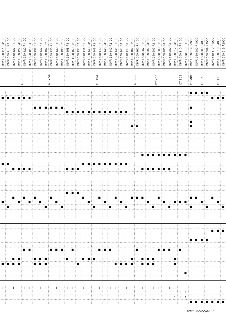| $rac{1}{2}$ $rac{1}{2}$ $rac{1}{2}$ |                                     |        |                        |   |                      |                         |                         |                        |          |     |             |             |                   |                                                               |         |                      |     | $\frac{1}{2}$ = $\frac{1}{2}$ = $\frac{1}{2}$ |
|-------------------------------------|-------------------------------------|--------|------------------------|---|----------------------|-------------------------|-------------------------|------------------------|----------|-----|-------------|-------------|-------------------|---------------------------------------------------------------|---------|----------------------|-----|-----------------------------------------------|
| $E_{4}$<br>$\overline{11}$          |                                     |        |                        |   |                      |                         |                         |                        |          |     |             |             |                   | $\circ$                                                       |         |                      |     |                                               |
| $\circ$                             |                                     |        |                        |   |                      | $\circ$                 |                         |                        |          |     |             |             |                   | $\circ$                                                       |         |                      |     |                                               |
|                                     |                                     |        |                        |   |                      |                         |                         |                        |          |     |             |             |                   |                                                               |         |                      |     |                                               |
|                                     |                                     |        |                        |   |                      |                         |                         |                        |          |     |             |             |                   |                                                               |         |                      |     |                                               |
|                                     |                                     |        | $\mathsf{SMA}$         |   |                      |                         |                         | AWE                    |          |     | $\sqcup$    |             |                   |                                                               |         |                      |     |                                               |
|                                     |                                     |        |                        |   |                      |                         |                         |                        |          |     | മ<br>ш<br>5 |             | CT-YDE            | CT-SDE                                                        | CT-MKE  | ÷KE                  |     | CT-AK                                         |
|                                     |                                     |        |                        |   |                      |                         |                         |                        |          |     |             |             |                   |                                                               |         |                      |     |                                               |
|                                     |                                     |        |                        |   |                      |                         |                         |                        |          |     |             |             |                   |                                                               |         | <b> =  =  =  =  </b> |     |                                               |
|                                     | e e e e e e e                       |        |                        |   |                      |                         |                         |                        |          |     |             |             |                   |                                                               |         |                      |     | { <b>a</b> { <b>a</b> { <b>a</b> }            |
|                                     |                                     |        |                        |   |                      |                         |                         |                        |          |     |             |             |                   |                                                               | F       |                      |     |                                               |
|                                     |                                     |        |                        |   |                      | {={={={={={={={={={={=} |                         |                        |          |     |             |             |                   |                                                               |         |                      |     |                                               |
|                                     |                                     |        |                        |   |                      |                         |                         |                        |          |     |             |             |                   |                                                               | Į∎Į.    |                      |     |                                               |
|                                     |                                     |        |                        |   |                      |                         |                         |                        |          |     | †∎†∎.       |             |                   |                                                               | }∎ }    |                      |     |                                               |
|                                     |                                     |        |                        |   |                      |                         |                         |                        |          |     |             |             |                   |                                                               |         |                      |     |                                               |
|                                     |                                     |        |                        |   |                      |                         |                         |                        |          |     |             |             |                   |                                                               |         |                      |     |                                               |
|                                     |                                     |        |                        |   |                      |                         |                         |                        |          |     |             |             |                   |                                                               |         |                      |     |                                               |
|                                     |                                     |        |                        |   |                      |                         |                         |                        |          |     |             |             | {={={={={={={=}=} |                                                               |         |                      |     |                                               |
|                                     |                                     |        |                        |   |                      |                         |                         |                        |          |     |             |             |                   |                                                               |         |                      |     |                                               |
| $\blacksquare$                      | {■ {■ {■ {■                         |        |                        |   | 1 = 1 = 1 =          |                         |                         | {= {= {= {= {= {= {= } |          |     |             |             | <b>FIFTHERE</b>   |                                                               |         |                      |     |                                               |
|                                     |                                     |        |                        |   |                      |                         |                         |                        |          |     |             |             |                   |                                                               |         |                      |     |                                               |
|                                     |                                     |        |                        |   |                      |                         |                         |                        |          |     |             |             |                   |                                                               |         |                      |     |                                               |
|                                     |                                     |        |                        |   |                      |                         |                         |                        |          |     |             |             |                   |                                                               |         |                      |     |                                               |
|                                     |                                     |        |                        | ∎ | 1999 H               |                         |                         |                        | <b>.</b> |     |             |             |                   |                                                               | in in i |                      | į∎. |                                               |
|                                     |                                     |        |                        |   |                      |                         |                         | !∎ }                   |          |     | ▏█▏░█▏░█▏   |             | $\blacksquare$    | E BERTHE                                                      |         |                      |     |                                               |
| † ∎                                 |                                     |        | ▏∎┆                    |   | ┆▆┊                  |                         | E∎ E                    |                        |          | ‡∎. |             | H.          |                   | ÷∎.                                                           | ‡∎‡.    |                      | ▏▉▏ | $\pm$ 10 $\pm$                                |
|                                     |                                     |        |                        |   |                      |                         |                         |                        |          |     |             |             |                   |                                                               |         |                      |     |                                               |
|                                     |                                     |        |                        |   |                      |                         |                         |                        |          |     |             |             |                   |                                                               |         |                      |     |                                               |
|                                     |                                     |        |                        |   |                      |                         |                         |                        |          |     |             |             |                   |                                                               |         |                      |     |                                               |
|                                     |                                     |        |                        |   |                      |                         |                         |                        |          |     |             |             |                   |                                                               |         |                      |     |                                               |
|                                     |                                     |        |                        |   |                      |                         |                         |                        |          |     |             |             |                   |                                                               |         | {■  ■  ■  ■          |     |                                               |
|                                     |                                     | ▏▆▕▗▆▕ |                        |   | ▐▆▕▆ <b>▏▆</b> ▕▏▅▏▏ |                         |                         | ▏▆▕▗▆▕▗▆▐              |          |     | ∄∎‡.        |             | {= {= {= {}}}     |                                                               |         |                      |     |                                               |
|                                     |                                     |        |                        |   |                      |                         |                         |                        |          |     |             | (a) (a)a(a) |                   |                                                               |         |                      |     |                                               |
| ▐▆▏▆▕▆▕▆▏                           | 8 N 8 N                             |        | 1 - 1 - 1<br>1 - 1 - 1 |   | di material          | ‡∎‡.                    | { <b>={</b> ={ <b>=</b> |                        |          |     |             |             |                   | $\parallel \blacksquare \parallel$<br>┆■┊                     |         |                      |     |                                               |
|                                     |                                     |        |                        |   |                      |                         |                         |                        |          |     |             |             |                   |                                                               |         |                      |     |                                               |
|                                     |                                     |        |                        |   |                      |                         |                         |                        |          |     |             |             |                   |                                                               | ≬∎.     |                      |     |                                               |
|                                     |                                     |        |                        |   |                      |                         |                         |                        |          |     |             |             |                   |                                                               |         |                      |     |                                               |
|                                     | 1 1 1 1 1 1 1 1 1 1 1 1 1 1 1 1 1 1 |        |                        |   |                      |                         |                         |                        |          |     |             |             |                   | $\frac{1}{2}$ 1 $\frac{1}{2}$ 1 $\frac{1}{2}$ 1 $\frac{1}{2}$ |         |                      |     |                                               |
|                                     |                                     |        |                        |   |                      |                         |                         |                        |          |     |             |             |                   | $\pm 1$ $\pm 1$ $\pm 1$                                       |         |                      |     |                                               |
|                                     |                                     |        |                        |   |                      |                         |                         |                        |          |     |             |             |                   |                                                               |         | {= {= {= {= {= {= }  |     |                                               |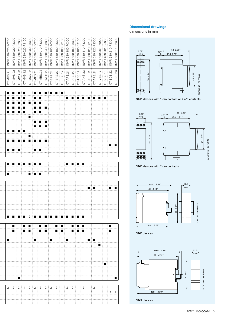

#### Dimensional drawings

dimensions in mm



CT-D devices with 1 c/o contact or 2 n/o contacts



CT-D devices with 2 c/o contacts



CT-E devices

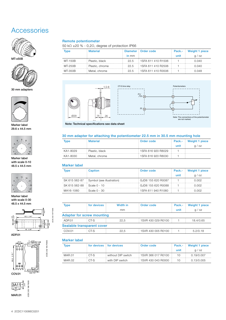### **Accessories**







30 mm adapters



Marker label 29.6 x 44.5 mm



Marker label with scale 0-10 48.5 x 44.5 mm



Marker label with scale 0-30 48.5 x 44.5 mm



2CDC 252 185 F0005

2CDC 252 185 F0005

ADP.01



2CDC 252 186 F0005 2CDC 252 186 F00 *.315"* 3A11∣<sub>®</sub> 20 *.787"* MAR.01

#### Remote potentiometer

50 kΩ ±20 % - 0,2Ω, degree of protection IP66

| <b>Type</b> | <b>Material</b> |         | Diameter Order code    | Pack.- | Weight 1 piece |
|-------------|-----------------|---------|------------------------|--------|----------------|
|             |                 | $in$ mm |                        | unit   | a / oz         |
| MT-150B     | Plastic, black  | 22.5    | 1 1 SFA 611 410 R1506  |        | 0.040          |
| MT-250B     | Plastic, chrome | 22.5    | 1 1 SFA 611 410 B 2506 |        | 0.040          |
| MT-350B     | Metal, chrome   | 22.5    | 1 1 SFA 611 410 R3506  |        | 0.048          |





Note: Technical specifications see data sheet

#### 30 mm adapter for attaching the potentiometer 22.5 mm in 30.5 mm mounting hole

| <b>Type</b> | : Material     | Order code            |      | Pack.- Weight 1 piece |
|-------------|----------------|-----------------------|------|-----------------------|
|             |                |                       | unit | a / oz                |
| KA1-8029    | Plastic, black | 1 1 SFA 616 920 R8029 |      |                       |
| KA1-8030    | Metal, chrome  | 1SFA 616 920 R8030    |      |                       |

#### Marker label

| <b>Type</b>                | <b>Caption</b>                            | Order code           | Pack.- | Weight 1 piece |
|----------------------------|-------------------------------------------|----------------------|--------|----------------|
|                            |                                           |                      | unit   | a / oz         |
|                            | SK 615 562-87   Symbol (see illustration) | i GJD6 155 620 R0087 |        | 0.002          |
| SK 615 562-88 Scale 0 - 10 |                                           | GJD6 155 620 R0088   |        | 0.002          |
| MA16-1060                  | $\frac{1}{2}$ Scale 0 - 30                | 1SFA 611 940 R1060   |        | 0.002          |

| <b>Type</b>                       | for devices | Width in | Order code         | Pack.- | Weight 1 piece |  |  |  |  |  |  |
|-----------------------------------|-------------|----------|--------------------|--------|----------------|--|--|--|--|--|--|
|                                   |             | mm       |                    | unit   | g / oz         |  |  |  |  |  |  |
| <b>Adapter for screw mounting</b> |             |          |                    |        |                |  |  |  |  |  |  |
| ADP.01                            | CTS         | 22.5     | 1SVR 430 029 R0100 |        | 18.4/0.65      |  |  |  |  |  |  |
| Sealable transparent cover        |             |          |                    |        |                |  |  |  |  |  |  |
| COV.01                            | CT-S        | 22.5     | 1SVR 430 005 R0100 |        | 5.2/0.18       |  |  |  |  |  |  |

#### Marker label

| Type   | for devices for devices |                    | Order code            | Pack.- | Weight 1 piece |
|--------|-------------------------|--------------------|-----------------------|--------|----------------|
|        |                         |                    |                       | unit   | a / oz         |
| MAR 01 | ECT-S                   | without DIP switch | 1 1 SVR 366 017 R0100 | 10     | 0.19/0.007     |
| MAR.02 | CT-S                    | with DIP switch    | 1SVR 430 043 R0000    | 10     | 0.13/0.005     |